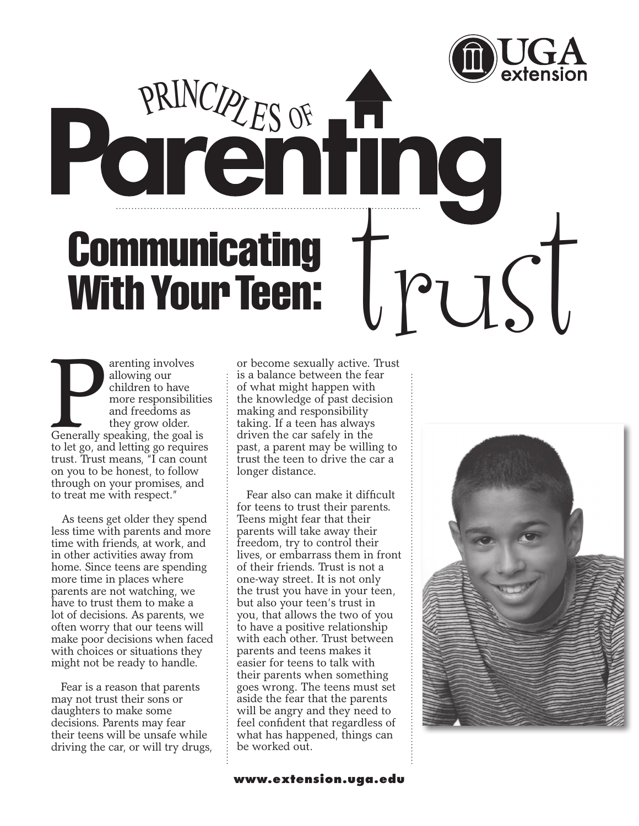

PRINCIPLES OF THE Communicating **With Your Teen:**  $\partial U \leq 0$ 

arenting involves<br>
allowing our<br>
children to have<br>
more responsibilitie<br>
and freedoms as<br>
they grow older.<br>
Generally speaking, the goal is<br>
to lot so and lotting so required allowing our children to have more responsibilities and freedoms as they grow older. to let go, and letting go requires trust. Trust means, "I can count on you to be honest, to follow through on your promises, and to treat me with respect."

 As teens get older they spend less time with parents and more time with friends, at work, and in other activities away from home. Since teens are spending more time in places where parents are not watching, we have to trust them to make a lot of decisions. As parents, we often worry that our teens will make poor decisions when faced with choices or situations they might not be ready to handle.

 Fear is a reason that parents may not trust their sons or daughters to make some decisions. Parents may fear their teens will be unsafe while driving the car, or will try drugs, or become sexually active. Trust is a balance between the fear of what might happen with the knowledge of past decision making and responsibility taking. If a teen has always driven the car safely in the past, a parent may be willing to trust the teen to drive the car a longer distance.

 Fear also can make it difficult for teens to trust their parents. Teens might fear that their parents will take away their freedom, try to control their lives, or embarrass them in front of their friends. Trust is not a one-way street. It is not only the trust you have in your teen, but also your teen's trust in you, that allows the two of you to have a positive relationship with each other. Trust between parents and teens makes it easier for teens to talk with their parents when something goes wrong. The teens must set aside the fear that the parents will be angry and they need to feel confident that regardless of what has happened, things can be worked out.



**www.extension.uga.edu**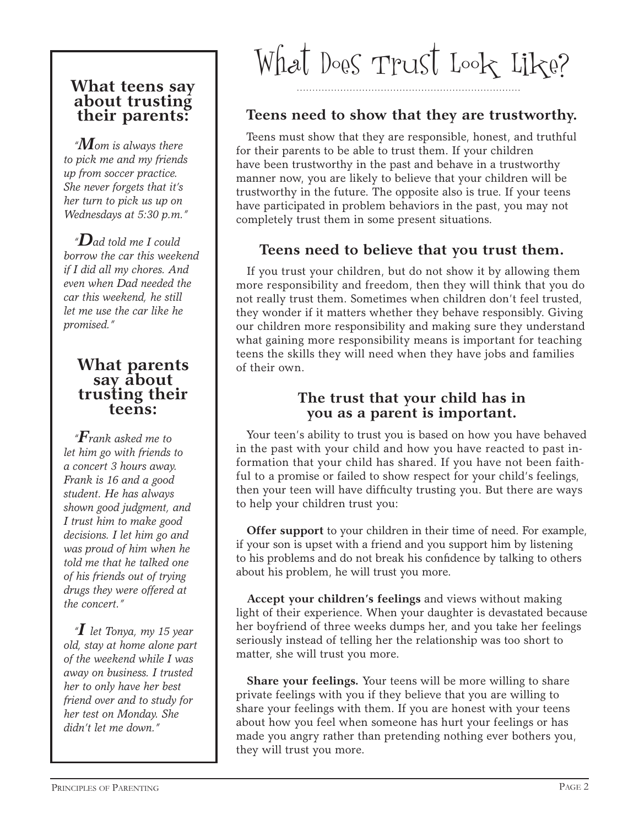### **What teens say about trusting their parents:**

 *"Mom is always there to pick me and my friends up from soccer practice. She never forgets that it's her turn to pick us up on Wednesdays at 5:30 p.m."*

 *"Dad told me I could borrow the car this weekend if I did all my chores. And even when Dad needed the car this weekend, he still let me use the car like he promised."*

# **What parents<br>say about<br>trusting their<br>teens:**

 *"Frank asked me to let him go with friends to a concert 3 hours away. Frank is 16 and a good student. He has always shown good judgment, and I trust him to make good decisions. I let him go and was proud of him when he told me that he talked one of his friends out of trying drugs they were offered at the concert."* 

 *"I let Tonya, my 15 year old, stay at home alone part of the weekend while I was away on business. I trusted her to only have her best friend over and to study for her test on Monday. She didn't let me down."* 

# What Does Trust Look Like?

### **Teens need to show that they are trustworthy.**

 Teens must show that they are responsible, honest, and truthful for their parents to be able to trust them. If your children have been trustworthy in the past and behave in a trustworthy manner now, you are likely to believe that your children will be trustworthy in the future. The opposite also is true. If your teens have participated in problem behaviors in the past, you may not completely trust them in some present situations.

### **Teens need to believe that you trust them.**

 If you trust your children, but do not show it by allowing them more responsibility and freedom, then they will think that you do not really trust them. Sometimes when children don't feel trusted, they wonder if it matters whether they behave responsibly. Giving our children more responsibility and making sure they understand what gaining more responsibility means is important for teaching teens the skills they will need when they have jobs and families of their own.

### **The trust that your child has in you as a parent is important.**

 Your teen's ability to trust you is based on how you have behaved in the past with your child and how you have reacted to past information that your child has shared. If you have not been faithful to a promise or failed to show respect for your child's feelings, then your teen will have difficulty trusting you. But there are ways to help your children trust you:

 **Offer support** to your children in their time of need. For example, if your son is upset with a friend and you support him by listening to his problems and do not break his confidence by talking to others about his problem, he will trust you more.

 **Accept your children's feelings** and views without making light of their experience. When your daughter is devastated because her boyfriend of three weeks dumps her, and you take her feelings seriously instead of telling her the relationship was too short to matter, she will trust you more.

 **Share your feelings.** Your teens will be more willing to share private feelings with you if they believe that you are willing to share your feelings with them. If you are honest with your teens about how you feel when someone has hurt your feelings or has made you angry rather than pretending nothing ever bothers you, they will trust you more.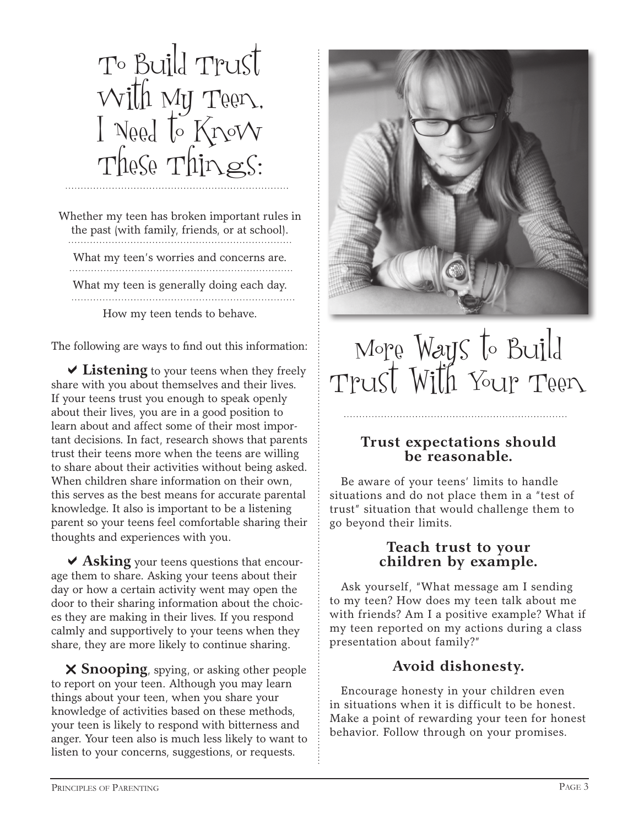

Whether my teen has broken important rules in the past (with family, friends, or at school). What my teen's worries and concerns are. What my teen is generally doing each day. 

How my teen tends to behave.

The following are ways to find out this information:

 $\vee$  **Listening** to your teens when they freely share with you about themselves and their lives. If your teens trust you enough to speak openly about their lives, you are in a good position to learn about and affect some of their most important decisions. In fact, research shows that parents trust their teens more when the teens are willing to share about their activities without being asked. When children share information on their own, this serves as the best means for accurate parental knowledge. It also is important to be a listening parent so your teens feel comfortable sharing their thoughts and experiences with you.

**◆ Asking** your teens questions that encourage them to share. Asking your teens about their day or how a certain activity went may open the door to their sharing information about the choices they are making in their lives. If you respond calmly and supportively to your teens when they share, they are more likely to continue sharing.

**X Snooping**, spying, or asking other people to report on your teen. Although you may learn things about your teen, when you share your knowledge of activities based on these methods, your teen is likely to respond with bitterness and anger. Your teen also is much less likely to want to listen to your concerns, suggestions, or requests.



## More Ways to Build Trust With Your Teen

### **Trust expectations should be reasonable.**

 Be aware of your teens' limits to handle situations and do not place them in a "test of trust" situation that would challenge them to go beyond their limits.

### **Teach trust to your children by example.**

 Ask yourself, "What message am I sending to my teen? How does my teen talk about me with friends? Am I a positive example? What if my teen reported on my actions during a class presentation about family?"

### **Avoid dishonesty.**

 Encourage honesty in your children even in situations when it is difficult to be honest. Make a point of rewarding your teen for honest behavior. Follow through on your promises.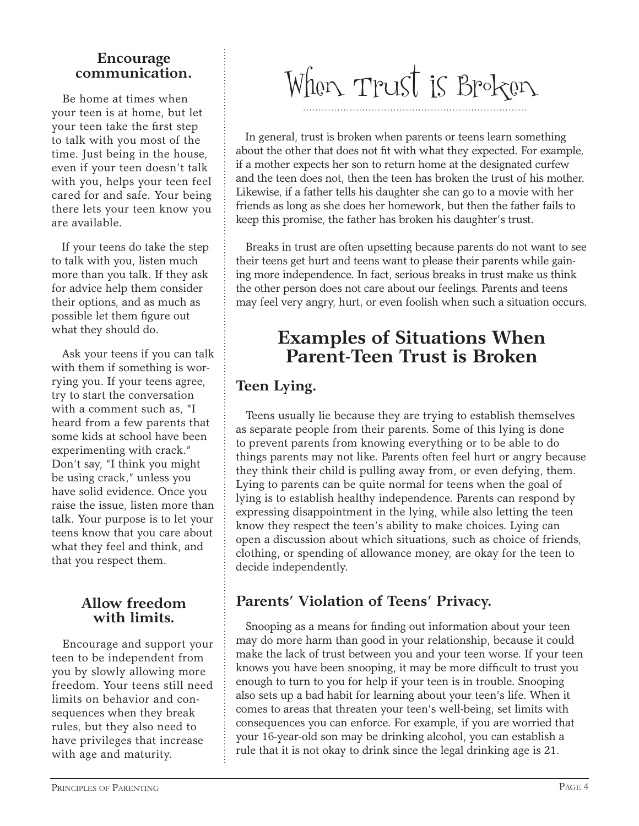#### **Encourage communication.**

 Be home at times when your teen is at home, but let your teen take the first step to talk with you most of the time. Just being in the house, even if your teen doesn't talk with you, helps your teen feel cared for and safe. Your being there lets your teen know you are available.

 If your teens do take the step to talk with you, listen much more than you talk. If they ask for advice help them consider their options, and as much as possible let them figure out what they should do.

 Ask your teens if you can talk with them if something is worrying you. If your teens agree, try to start the conversation with a comment such as, "I heard from a few parents that some kids at school have been experimenting with crack." Don't say, "I think you might be using crack," unless you have solid evidence. Once you raise the issue, listen more than talk. Your purpose is to let your teens know that you care about what they feel and think, and that you respect them.

#### **Allow freedom with limits.**

 Encourage and support your teen to be independent from you by slowly allowing more freedom. Your teens still need limits on behavior and consequences when they break rules, but they also need to have privileges that increase with age and maturity.

# When Trust is Broken

 In general, trust is broken when parents or teens learn something about the other that does not fit with what they expected. For example, if a mother expects her son to return home at the designated curfew and the teen does not, then the teen has broken the trust of his mother. Likewise, if a father tells his daughter she can go to a movie with her friends as long as she does her homework, but then the father fails to keep this promise, the father has broken his daughter's trust.

 Breaks in trust are often upsetting because parents do not want to see their teens get hurt and teens want to please their parents while gaining more independence. In fact, serious breaks in trust make us think the other person does not care about our feelings. Parents and teens may feel very angry, hurt, or even foolish when such a situation occurs.

### **Examples of Situations When Parent-Teen Trust is Broken**

### **Teen Lying.**

 Teens usually lie because they are trying to establish themselves as separate people from their parents. Some of this lying is done to prevent parents from knowing everything or to be able to do things parents may not like. Parents often feel hurt or angry because they think their child is pulling away from, or even defying, them. Lying to parents can be quite normal for teens when the goal of lying is to establish healthy independence. Parents can respond by expressing disappointment in the lying, while also letting the teen know they respect the teen's ability to make choices. Lying can open a discussion about which situations, such as choice of friends, clothing, or spending of allowance money, are okay for the teen to decide independently.

### **Parents' Violation of Teens' Privacy.**

 Snooping as a means for finding out information about your teen may do more harm than good in your relationship, because it could make the lack of trust between you and your teen worse. If your teen knows you have been snooping, it may be more difficult to trust you enough to turn to you for help if your teen is in trouble. Snooping also sets up a bad habit for learning about your teen's life. When it comes to areas that threaten your teen's well-being, set limits with consequences you can enforce. For example, if you are worried that your 16-year-old son may be drinking alcohol, you can establish a rule that it is not okay to drink since the legal drinking age is 21.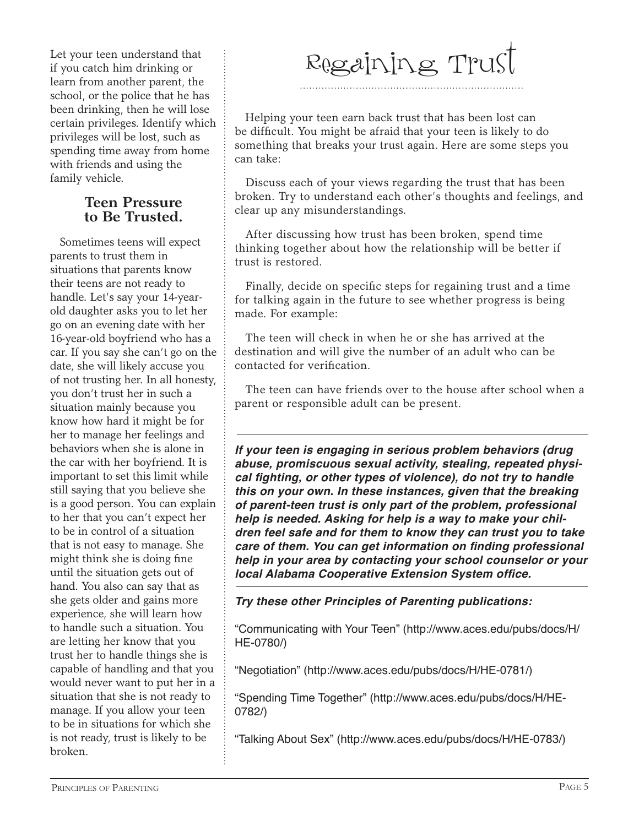Let your teen understand that if you catch him drinking or learn from another parent, the school, or the police that he has been drinking, then he will lose certain privileges. Identify which privileges will be lost, such as spending time away from home with friends and using the family vehicle.

#### **Teen Pressure to Be Trusted.**

 Sometimes teens will expect parents to trust them in situations that parents know their teens are not ready to handle. Let's say your 14-yearold daughter asks you to let her go on an evening date with her 16-year-old boyfriend who has a car. If you say she can't go on the date, she will likely accuse you of not trusting her. In all honesty, you don't trust her in such a situation mainly because you know how hard it might be for her to manage her feelings and behaviors when she is alone in the car with her boyfriend. It is important to set this limit while still saying that you believe she is a good person. You can explain to her that you can't expect her to be in control of a situation that is not easy to manage. She might think she is doing fine until the situation gets out of hand. You also can say that as she gets older and gains more experience, she will learn how to handle such a situation. You are letting her know that you trust her to handle things she is capable of handling and that you would never want to put her in a situation that she is not ready to manage. If you allow your teen to be in situations for which she is not ready, trust is likely to be broken.

# Regaining Trust

 Helping your teen earn back trust that has been lost can be difficult. You might be afraid that your teen is likely to do something that breaks your trust again. Here are some steps you can take:

 Discuss each of your views regarding the trust that has been broken. Try to understand each other's thoughts and feelings, and clear up any misunderstandings.

 After discussing how trust has been broken, spend time thinking together about how the relationship will be better if trust is restored.

 Finally, decide on specific steps for regaining trust and a time for talking again in the future to see whether progress is being made. For example:

 The teen will check in when he or she has arrived at the destination and will give the number of an adult who can be contacted for verification.

 The teen can have friends over to the house after school when a parent or responsible adult can be present.

*If your teen is engaging in serious problem behaviors (drug abuse, promiscuous sexual activity, stealing, repeated physi***cal fighting, or other types of violence), do not try to handle**  *this on your own. In these instances, given that the breaking of parent-teen trust is only part of the problem, professional help is needed. Asking for help is a way to make your children feel safe and for them to know they can trust you to take*  **care of them. You can get information on finding professional**  *help in your area by contacting your school counselor or your*  **local Alabama Cooperative Extension System office.**

*Try these other Principles of Parenting publications:* 

"Communicating with Your Teen" (http://www.aces.edu/pubs/docs/H/ HE-0780/)

"Negotiation" (http://www.aces.edu/pubs/docs/H/HE-0781/)

"Spending Time Together" (http://www.aces.edu/pubs/docs/H/HE-0782/)

"Talking About Sex" (http://www.aces.edu/pubs/docs/H/HE-0783/)